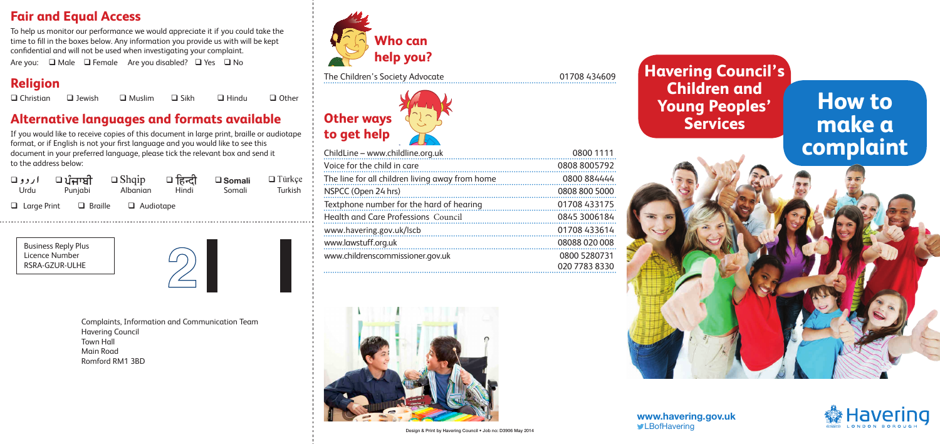#### **Fair and Equal Access**

To help us monitor our performance we would appreciate it if you could take the time to fll in the boxes below. Any information you provide us with will be kept confdential and will not be used when investigating your complaint.

Are you: □ Male □ Female Are you disabled? □ Yes □ No

#### **Religion**

Christian Jewish Muslim Sikh Hindu Other

### **Alternative languages and formats available**

If you would like to receive copies of this document in large print, braille or audiotape format, or if English is not your frst language and you would like to see this document in your preferred language, please tick the relevant box and send it to the address below:

| Urdu | $\Box$ ਪੰਜਾਬੀ <i>∪ردو</i><br>Punjabi               | $\Box$ Shqip $\Box$ हिन्दी<br>Albanian | Hindi | $\square$ Somali<br>Somali | $\Box$ Türkçe<br><b>Turkish</b> |
|------|----------------------------------------------------|----------------------------------------|-------|----------------------------|---------------------------------|
|      | $\Box$ Large Print $\Box$ Braille $\Box$ Audiotape |                                        |       |                            |                                 |

Business Reply Plus Licence Number RSRA-GZUR-ULHE



Complaints, Information and Communication Team Havering Council Town Hall Main Road Romford RM1 3BD



The Children's Society Advocate 01708 434609



| ChildLine - www.childline.org.uk<br>0800 1111                  |  |
|----------------------------------------------------------------|--|
|                                                                |  |
| 0808 8005792<br>Voice for the child in care                    |  |
| 0800 884444<br>The line for all children living away from home |  |
| 0808 800 5000<br>NSPCC (Open 24 hrs)<br>                       |  |
| 01708 433175<br>Textphone number for the hard of hearing       |  |
| <b>Health and Care Professions Council</b><br>0845 3006184     |  |
| 01708 433614<br>www.havering.gov.uk/lscb                       |  |
| 08088 020 008<br>www.lawstuff.org.uk                           |  |
| 0800 5280731<br>www.childrenscommissioner.gov.uk               |  |
| 020 7783 8330                                                  |  |







**Havering Council's Children and Young Peoples' Services** 

# **How to make a complaint**